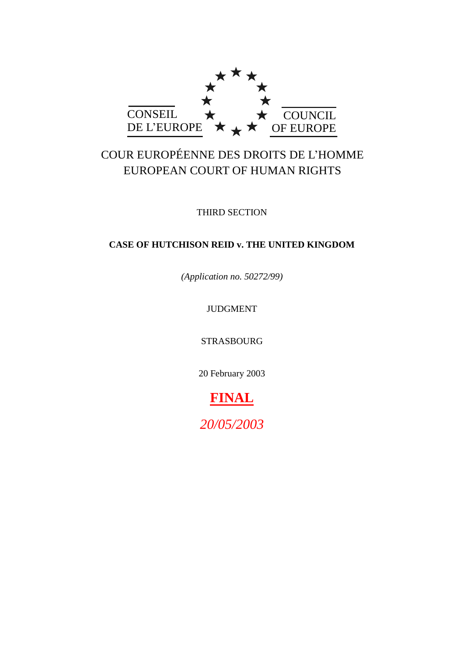

# COUR EUROPÉENNE DES DROITS DE L'HOMME EUROPEAN COURT OF HUMAN RIGHTS

THIRD SECTION

## **CASE OF HUTCHISON REID v. THE UNITED KINGDOM**

*(Application no. 50272/99)*

# JUDGMENT

STRASBOURG

20 February 2003

# **FINAL**

*20/05/2003*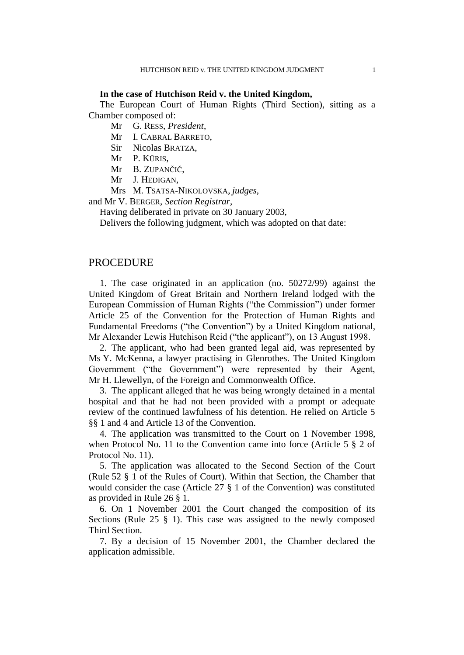#### **In the case of Hutchison Reid v. the United Kingdom,**

The European Court of Human Rights (Third Section), sitting as a Chamber composed of:

Mr G. RESS, *President*,

Mr I. CABRAL BARRETO,

Sir Nicolas BRATZA,

Mr P. KŪRIS,

Mr B. ZUPANČIČ,

Mr J. HEDIGAN,

Mrs M. TSATSA-NIKOLOVSKA, *judges*,

and Mr V. BERGER, *Section Registrar*,

Having deliberated in private on 30 January 2003,

Delivers the following judgment, which was adopted on that date:

## PROCEDURE

1. The case originated in an application (no. 50272/99) against the United Kingdom of Great Britain and Northern Ireland lodged with the European Commission of Human Rights ("the Commission") under former Article 25 of the Convention for the Protection of Human Rights and Fundamental Freedoms ("the Convention") by a United Kingdom national, Mr Alexander Lewis Hutchison Reid ("the applicant"), on 13 August 1998.

2. The applicant, who had been granted legal aid, was represented by Ms Y. McKenna, a lawyer practising in Glenrothes. The United Kingdom Government ("the Government") were represented by their Agent, Mr H. Llewellyn, of the Foreign and Commonwealth Office.

3. The applicant alleged that he was being wrongly detained in a mental hospital and that he had not been provided with a prompt or adequate review of the continued lawfulness of his detention. He relied on Article 5 §§ 1 and 4 and Article 13 of the Convention.

4. The application was transmitted to the Court on 1 November 1998, when Protocol No. 11 to the Convention came into force (Article 5 § 2 of Protocol No. 11).

5. The application was allocated to the Second Section of the Court (Rule 52 § 1 of the Rules of Court). Within that Section, the Chamber that would consider the case (Article 27 § 1 of the Convention) was constituted as provided in Rule 26 § 1.

6. On 1 November 2001 the Court changed the composition of its Sections (Rule 25 § 1). This case was assigned to the newly composed Third Section.

7. By a decision of 15 November 2001, the Chamber declared the application admissible.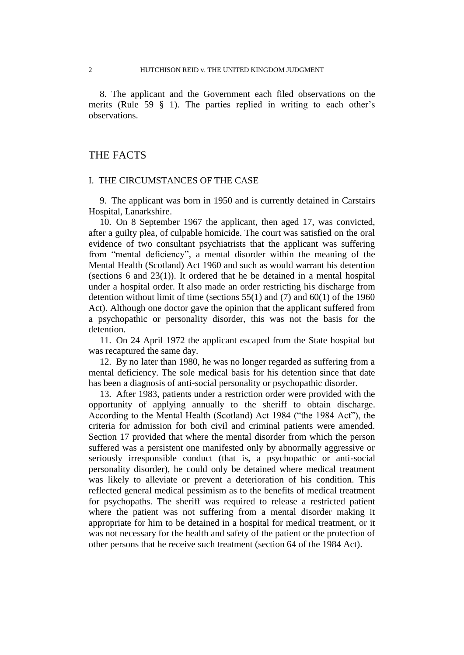8. The applicant and the Government each filed observations on the merits (Rule 59 § 1). The parties replied in writing to each other's observations.

## THE FACTS

#### I. THE CIRCUMSTANCES OF THE CASE

9. The applicant was born in 1950 and is currently detained in Carstairs Hospital, Lanarkshire.

10. On 8 September 1967 the applicant, then aged 17, was convicted, after a guilty plea, of culpable homicide. The court was satisfied on the oral evidence of two consultant psychiatrists that the applicant was suffering from "mental deficiency", a mental disorder within the meaning of the Mental Health (Scotland) Act 1960 and such as would warrant his detention (sections 6 and 23(1)). It ordered that he be detained in a mental hospital under a hospital order. It also made an order restricting his discharge from detention without limit of time (sections  $55(1)$  and  $(7)$  and  $60(1)$  of the 1960 Act). Although one doctor gave the opinion that the applicant suffered from a psychopathic or personality disorder, this was not the basis for the detention.

11. On 24 April 1972 the applicant escaped from the State hospital but was recaptured the same day.

12. By no later than 1980, he was no longer regarded as suffering from a mental deficiency. The sole medical basis for his detention since that date has been a diagnosis of anti-social personality or psychopathic disorder.

13. After 1983, patients under a restriction order were provided with the opportunity of applying annually to the sheriff to obtain discharge. According to the Mental Health (Scotland) Act 1984 ("the 1984 Act"), the criteria for admission for both civil and criminal patients were amended. Section 17 provided that where the mental disorder from which the person suffered was a persistent one manifested only by abnormally aggressive or seriously irresponsible conduct (that is, a psychopathic or anti-social personality disorder), he could only be detained where medical treatment was likely to alleviate or prevent a deterioration of his condition. This reflected general medical pessimism as to the benefits of medical treatment for psychopaths. The sheriff was required to release a restricted patient where the patient was not suffering from a mental disorder making it appropriate for him to be detained in a hospital for medical treatment, or it was not necessary for the health and safety of the patient or the protection of other persons that he receive such treatment (section 64 of the 1984 Act).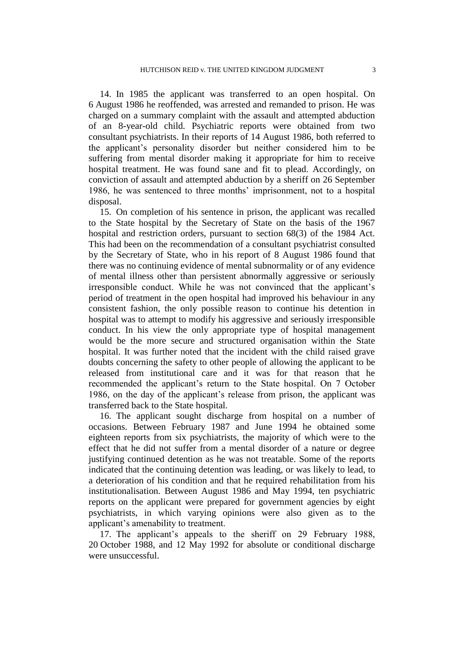14. In 1985 the applicant was transferred to an open hospital. On 6 August 1986 he reoffended, was arrested and remanded to prison. He was charged on a summary complaint with the assault and attempted abduction of an 8-year-old child. Psychiatric reports were obtained from two consultant psychiatrists. In their reports of 14 August 1986, both referred to the applicant's personality disorder but neither considered him to be suffering from mental disorder making it appropriate for him to receive hospital treatment. He was found sane and fit to plead. Accordingly, on conviction of assault and attempted abduction by a sheriff on 26 September 1986, he was sentenced to three months' imprisonment, not to a hospital disposal.

15. On completion of his sentence in prison, the applicant was recalled to the State hospital by the Secretary of State on the basis of the 1967 hospital and restriction orders, pursuant to section 68(3) of the 1984 Act. This had been on the recommendation of a consultant psychiatrist consulted by the Secretary of State, who in his report of 8 August 1986 found that there was no continuing evidence of mental subnormality or of any evidence of mental illness other than persistent abnormally aggressive or seriously irresponsible conduct. While he was not convinced that the applicant's period of treatment in the open hospital had improved his behaviour in any consistent fashion, the only possible reason to continue his detention in hospital was to attempt to modify his aggressive and seriously irresponsible conduct. In his view the only appropriate type of hospital management would be the more secure and structured organisation within the State hospital. It was further noted that the incident with the child raised grave doubts concerning the safety to other people of allowing the applicant to be released from institutional care and it was for that reason that he recommended the applicant's return to the State hospital. On 7 October 1986, on the day of the applicant's release from prison, the applicant was transferred back to the State hospital.

16. The applicant sought discharge from hospital on a number of occasions. Between February 1987 and June 1994 he obtained some eighteen reports from six psychiatrists, the majority of which were to the effect that he did not suffer from a mental disorder of a nature or degree justifying continued detention as he was not treatable. Some of the reports indicated that the continuing detention was leading, or was likely to lead, to a deterioration of his condition and that he required rehabilitation from his institutionalisation. Between August 1986 and May 1994, ten psychiatric reports on the applicant were prepared for government agencies by eight psychiatrists, in which varying opinions were also given as to the applicant's amenability to treatment.

17. The applicant's appeals to the sheriff on 29 February 1988, 20 October 1988, and 12 May 1992 for absolute or conditional discharge were unsuccessful.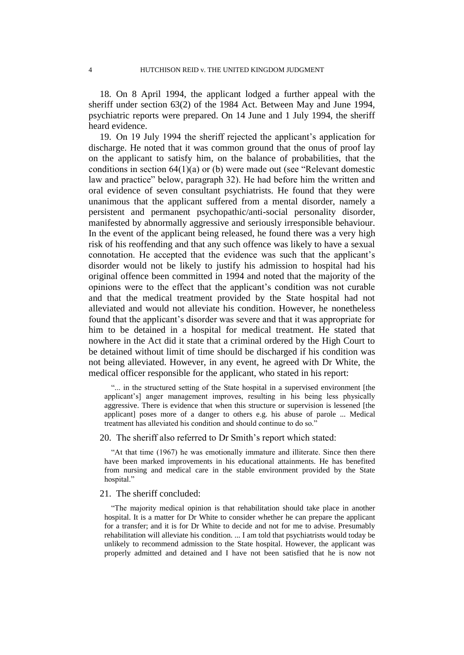18. On 8 April 1994, the applicant lodged a further appeal with the sheriff under section 63(2) of the 1984 Act. Between May and June 1994, psychiatric reports were prepared. On 14 June and 1 July 1994, the sheriff heard evidence.

19. On 19 July 1994 the sheriff rejected the applicant's application for discharge. He noted that it was common ground that the onus of proof lay on the applicant to satisfy him, on the balance of probabilities, that the conditions in section 64(1)(a) or (b) were made out (see "Relevant domestic law and practice" below, paragraph 32). He had before him the written and oral evidence of seven consultant psychiatrists. He found that they were unanimous that the applicant suffered from a mental disorder, namely a persistent and permanent psychopathic/anti-social personality disorder, manifested by abnormally aggressive and seriously irresponsible behaviour. In the event of the applicant being released, he found there was a very high risk of his reoffending and that any such offence was likely to have a sexual connotation. He accepted that the evidence was such that the applicant's disorder would not be likely to justify his admission to hospital had his original offence been committed in 1994 and noted that the majority of the opinions were to the effect that the applicant's condition was not curable and that the medical treatment provided by the State hospital had not alleviated and would not alleviate his condition. However, he nonetheless found that the applicant's disorder was severe and that it was appropriate for him to be detained in a hospital for medical treatment. He stated that nowhere in the Act did it state that a criminal ordered by the High Court to be detained without limit of time should be discharged if his condition was not being alleviated. However, in any event, he agreed with Dr White, the medical officer responsible for the applicant, who stated in his report:

"... in the structured setting of the State hospital in a supervised environment [the applicant's] anger management improves, resulting in his being less physically aggressive. There is evidence that when this structure or supervision is lessened [the applicant] poses more of a danger to others e.g. his abuse of parole ... Medical treatment has alleviated his condition and should continue to do so."

#### 20. The sheriff also referred to Dr Smith's report which stated:

"At that time (1967) he was emotionally immature and illiterate. Since then there have been marked improvements in his educational attainments. He has benefited from nursing and medical care in the stable environment provided by the State hospital."

## 21. The sheriff concluded:

"The majority medical opinion is that rehabilitation should take place in another hospital. It is a matter for Dr White to consider whether he can prepare the applicant for a transfer; and it is for Dr White to decide and not for me to advise. Presumably rehabilitation will alleviate his condition. ... I am told that psychiatrists would today be unlikely to recommend admission to the State hospital. However, the applicant was properly admitted and detained and I have not been satisfied that he is now not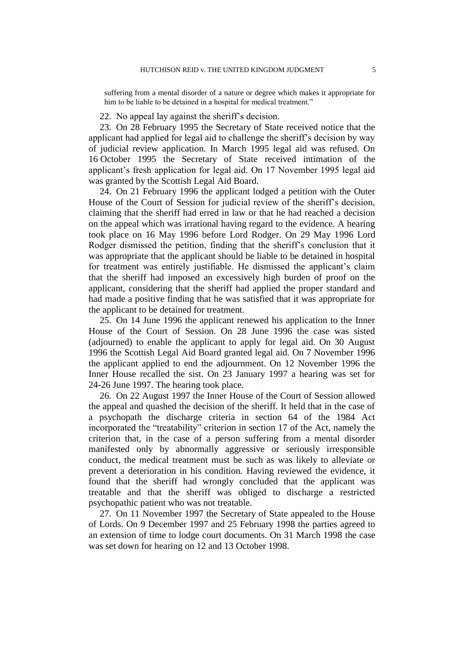suffering from a mental disorder of a nature or degree which makes it appropriate for him to be liable to be detained in a hospital for medical treatment."

22. No appeal lay against the sheriff's decision.

23. On 28 February 1995 the Secretary of State received notice that the applicant had applied for legal aid to challenge the sheriff's decision by way of judicial review application. In March 1995 legal aid was refused. On 16 October 1995 the Secretary of State received intimation of the applicant's fresh application for legal aid. On 17 November 1995 legal aid was granted by the Scottish Legal Aid Board.

24. On 21 February 1996 the applicant lodged a petition with the Outer House of the Court of Session for judicial review of the sheriff's decision, claiming that the sheriff had erred in law or that he had reached a decision on the appeal which was irrational having regard to the evidence. A hearing took place on 16 May 1996 before Lord Rodger. On 29 May 1996 Lord Rodger dismissed the petition, finding that the sheriff's conclusion that it was appropriate that the applicant should be liable to be detained in hospital for treatment was entirely justifiable. He dismissed the applicant's claim that the sheriff had imposed an excessively high burden of proof on the applicant, considering that the sheriff had applied the proper standard and had made a positive finding that he was satisfied that it was appropriate for the applicant to be detained for treatment.

25. On 14 June 1996 the applicant renewed his application to the Inner House of the Court of Session. On 28 June 1996 the case was sisted (adjourned) to enable the applicant to apply for legal aid. On 30 August 1996 the Scottish Legal Aid Board granted legal aid. On 7 November 1996 the applicant applied to end the adjournment. On 12 November 1996 the Inner House recalled the sist. On 23 January 1997 a hearing was set for 24-26 June 1997. The hearing took place.

26. On 22 August 1997 the Inner House of the Court of Session allowed the appeal and quashed the decision of the sheriff. It held that in the case of a psychopath the discharge criteria in section 64 of the 1984 Act incorporated the "treatability" criterion in section 17 of the Act, namely the criterion that, in the case of a person suffering from a mental disorder manifested only by abnormally aggressive or seriously irresponsible conduct, the medical treatment must be such as was likely to alleviate or prevent a deterioration in his condition. Having reviewed the evidence, it found that the sheriff had wrongly concluded that the applicant was treatable and that the sheriff was obliged to discharge a restricted psychopathic patient who was not treatable.

27. On 11 November 1997 the Secretary of State appealed to the House of Lords. On 9 December 1997 and 25 February 1998 the parties agreed to an extension of time to lodge court documents. On 31 March 1998 the case was set down for hearing on 12 and 13 October 1998.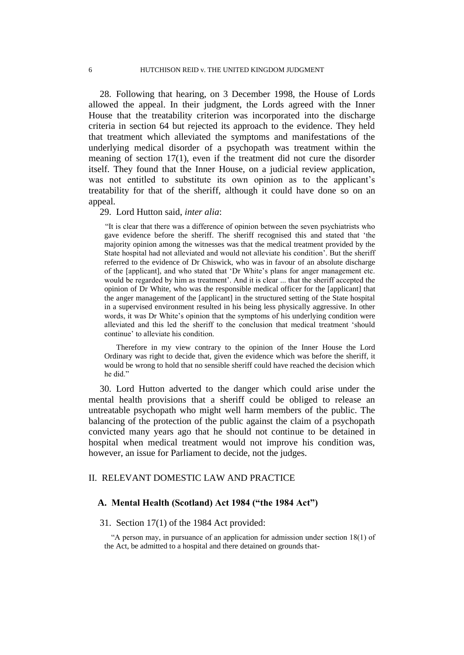28. Following that hearing, on 3 December 1998, the House of Lords allowed the appeal. In their judgment, the Lords agreed with the Inner House that the treatability criterion was incorporated into the discharge criteria in section 64 but rejected its approach to the evidence. They held that treatment which alleviated the symptoms and manifestations of the underlying medical disorder of a psychopath was treatment within the meaning of section 17(1), even if the treatment did not cure the disorder itself. They found that the Inner House, on a judicial review application, was not entitled to substitute its own opinion as to the applicant's treatability for that of the sheriff, although it could have done so on an appeal.

29. Lord Hutton said, *inter alia*:

"It is clear that there was a difference of opinion between the seven psychiatrists who gave evidence before the sheriff. The sheriff recognised this and stated that 'the majority opinion among the witnesses was that the medical treatment provided by the State hospital had not alleviated and would not alleviate his condition'. But the sheriff referred to the evidence of Dr Chiswick, who was in favour of an absolute discharge of the [applicant], and who stated that 'Dr White's plans for anger management etc. would be regarded by him as treatment'. And it is clear ... that the sheriff accepted the opinion of Dr White, who was the responsible medical officer for the [applicant] that the anger management of the [applicant] in the structured setting of the State hospital in a supervised environment resulted in his being less physically aggressive. In other words, it was Dr White's opinion that the symptoms of his underlying condition were alleviated and this led the sheriff to the conclusion that medical treatment 'should continue' to alleviate his condition.

Therefore in my view contrary to the opinion of the Inner House the Lord Ordinary was right to decide that, given the evidence which was before the sheriff, it would be wrong to hold that no sensible sheriff could have reached the decision which he did."

30. Lord Hutton adverted to the danger which could arise under the mental health provisions that a sheriff could be obliged to release an untreatable psychopath who might well harm members of the public. The balancing of the protection of the public against the claim of a psychopath convicted many years ago that he should not continue to be detained in hospital when medical treatment would not improve his condition was, however, an issue for Parliament to decide, not the judges.

## II. RELEVANT DOMESTIC LAW AND PRACTICE

## **A. Mental Health (Scotland) Act 1984 ("the 1984 Act")**

## 31. Section 17(1) of the 1984 Act provided:

"A person may, in pursuance of an application for admission under section 18(1) of the Act, be admitted to a hospital and there detained on grounds that-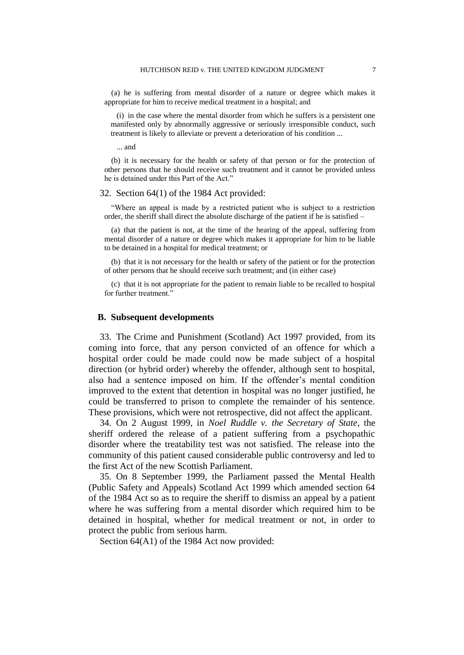(a) he is suffering from mental disorder of a nature or degree which makes it appropriate for him to receive medical treatment in a hospital; and

 (i) in the case where the mental disorder from which he suffers is a persistent one manifested only by abnormally aggressive or seriously irresponsible conduct, such treatment is likely to alleviate or prevent a deterioration of his condition ...

... and

(b) it is necessary for the health or safety of that person or for the protection of other persons that he should receive such treatment and it cannot be provided unless he is detained under this Part of the Act."

## 32. Section 64(1) of the 1984 Act provided:

"Where an appeal is made by a restricted patient who is subject to a restriction order, the sheriff shall direct the absolute discharge of the patient if he is satisfied –

(a) that the patient is not, at the time of the hearing of the appeal, suffering from mental disorder of a nature or degree which makes it appropriate for him to be liable to be detained in a hospital for medical treatment; or

(b) that it is not necessary for the health or safety of the patient or for the protection of other persons that he should receive such treatment; and (in either case)

(c) that it is not appropriate for the patient to remain liable to be recalled to hospital for further treatment."

#### **B. Subsequent developments**

33. The Crime and Punishment (Scotland) Act 1997 provided, from its coming into force, that any person convicted of an offence for which a hospital order could be made could now be made subject of a hospital direction (or hybrid order) whereby the offender, although sent to hospital, also had a sentence imposed on him. If the offender's mental condition improved to the extent that detention in hospital was no longer justified, he could be transferred to prison to complete the remainder of his sentence. These provisions, which were not retrospective, did not affect the applicant.

34. On 2 August 1999, in *Noel Ruddle v. the Secretary of State*, the sheriff ordered the release of a patient suffering from a psychopathic disorder where the treatability test was not satisfied. The release into the community of this patient caused considerable public controversy and led to the first Act of the new Scottish Parliament.

35. On 8 September 1999, the Parliament passed the Mental Health (Public Safety and Appeals) Scotland Act 1999 which amended section 64 of the 1984 Act so as to require the sheriff to dismiss an appeal by a patient where he was suffering from a mental disorder which required him to be detained in hospital, whether for medical treatment or not, in order to protect the public from serious harm.

Section 64(A1) of the 1984 Act now provided: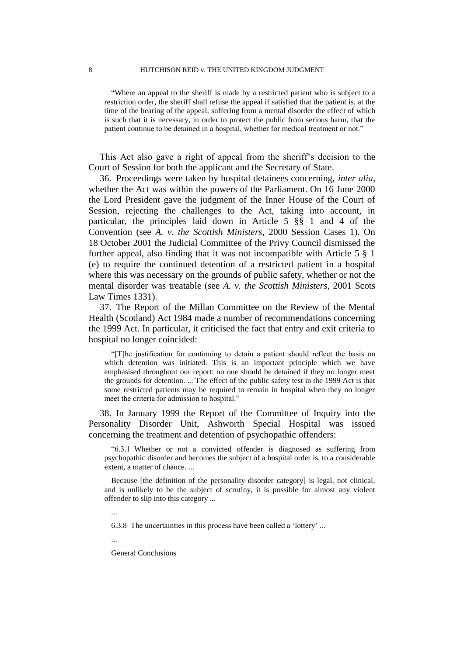"Where an appeal to the sheriff is made by a restricted patient who is subject to a restriction order, the sheriff shall refuse the appeal if satisfied that the patient is, at the time of the hearing of the appeal, suffering from a mental disorder the effect of which is such that it is necessary, in order to protect the public from serious harm, that the patient continue to be detained in a hospital, whether for medical treatment or not."

This Act also gave a right of appeal from the sheriff's decision to the Court of Session for both the applicant and the Secretary of State.

36. Proceedings were taken by hospital detainees concerning, *inter alia*, whether the Act was within the powers of the Parliament. On 16 June 2000 the Lord President gave the judgment of the Inner House of the Court of Session, rejecting the challenges to the Act, taking into account, in particular, the principles laid down in Article 5 §§ 1 and 4 of the Convention (see *A. v. the Scottish Ministers*, 2000 Session Cases 1). On 18 October 2001 the Judicial Committee of the Privy Council dismissed the further appeal, also finding that it was not incompatible with Article 5 § 1 (e) to require the continued detention of a restricted patient in a hospital where this was necessary on the grounds of public safety, whether or not the mental disorder was treatable (see *A. v. the Scottish Ministers*, 2001 Scots Law Times 1331).

37. The Report of the Millan Committee on the Review of the Mental Health (Scotland) Act 1984 made a number of recommendations concerning the 1999 Act. In particular, it criticised the fact that entry and exit criteria to hospital no longer coincided:

"[T]he justification for continuing to detain a patient should reflect the basis on which detention was initiated. This is an important principle which we have emphasised throughout our report: no one should be detained if they no longer meet the grounds for detention. ... The effect of the public safety test in the 1999 Act is that some restricted patients may be required to remain in hospital when they no longer meet the criteria for admission to hospital."

38. In January 1999 the Report of the Committee of Inquiry into the Personality Disorder Unit, Ashworth Special Hospital was issued concerning the treatment and detention of psychopathic offenders:

"6.3.1 Whether or not a convicted offender is diagnosed as suffering from psychopathic disorder and becomes the subject of a hospital order is, to a considerable extent, a matter of chance. ...

Because [the definition of the personality disorder category] is legal, not clinical, and is unlikely to be the subject of scrutiny, it is possible for almost any violent offender to slip into this category ...

...

6.3.8 The uncertainties in this process have been called a 'lottery' ...

...

General Conclusions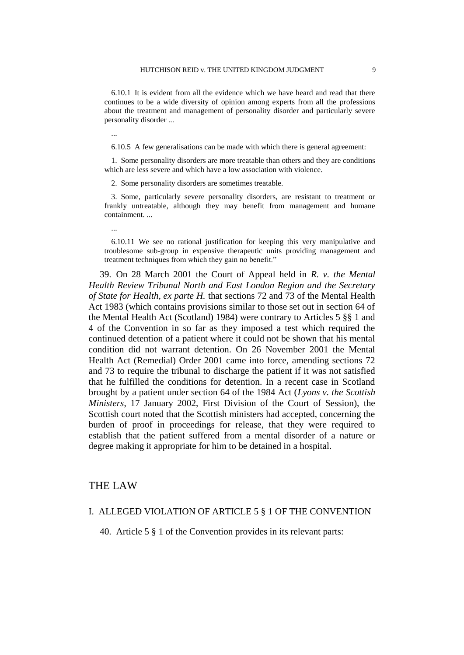6.10.1 It is evident from all the evidence which we have heard and read that there continues to be a wide diversity of opinion among experts from all the professions about the treatment and management of personality disorder and particularly severe personality disorder ...

#### ...

...

6.10.5 A few generalisations can be made with which there is general agreement:

1. Some personality disorders are more treatable than others and they are conditions which are less severe and which have a low association with violence.

2. Some personality disorders are sometimes treatable.

3. Some, particularly severe personality disorders, are resistant to treatment or frankly untreatable, although they may benefit from management and humane containment. ...

#### 6.10.11 We see no rational justification for keeping this very manipulative and troublesome sub-group in expensive therapeutic units providing management and treatment techniques from which they gain no benefit."

39. On 28 March 2001 the Court of Appeal held in *R. v. the Mental Health Review Tribunal North and East London Region and the Secretary of State for Health, ex parte H.* that sections 72 and 73 of the Mental Health Act 1983 (which contains provisions similar to those set out in section 64 of the Mental Health Act (Scotland) 1984) were contrary to Articles 5 §§ 1 and 4 of the Convention in so far as they imposed a test which required the continued detention of a patient where it could not be shown that his mental condition did not warrant detention. On 26 November 2001 the Mental Health Act (Remedial) Order 2001 came into force, amending sections 72 and 73 to require the tribunal to discharge the patient if it was not satisfied that he fulfilled the conditions for detention. In a recent case in Scotland brought by a patient under section 64 of the 1984 Act (*Lyons v. the Scottish Ministers*, 17 January 2002, First Division of the Court of Session), the Scottish court noted that the Scottish ministers had accepted, concerning the burden of proof in proceedings for release, that they were required to establish that the patient suffered from a mental disorder of a nature or degree making it appropriate for him to be detained in a hospital.

## THE LAW

#### I. ALLEGED VIOLATION OF ARTICLE 5 § 1 OF THE CONVENTION

40. Article 5 § 1 of the Convention provides in its relevant parts: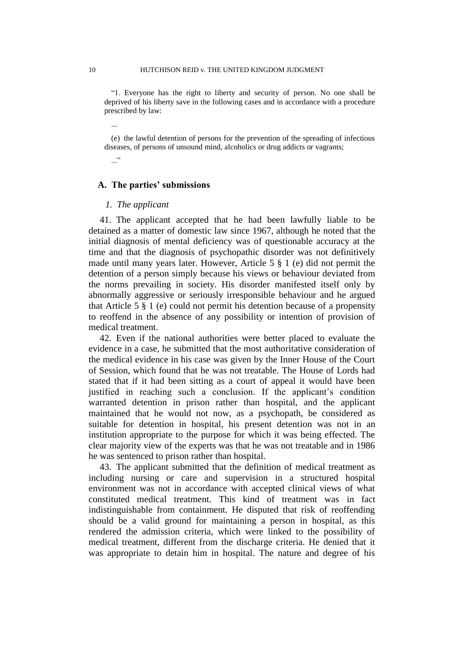"1. Everyone has the right to liberty and security of person. No one shall be deprived of his liberty save in the following cases and in accordance with a procedure prescribed by law:

(e) the lawful detention of persons for the prevention of the spreading of infectious diseases, of persons of unsound mind, alcoholics or drug addicts or vagrants;

## **A. The parties' submissions**

#### *1. The applicant*

41. The applicant accepted that he had been lawfully liable to be detained as a matter of domestic law since 1967, although he noted that the initial diagnosis of mental deficiency was of questionable accuracy at the time and that the diagnosis of psychopathic disorder was not definitively made until many years later. However, Article 5 § 1 (e) did not permit the detention of a person simply because his views or behaviour deviated from the norms prevailing in society. His disorder manifested itself only by abnormally aggressive or seriously irresponsible behaviour and he argued that Article 5 § 1 (e) could not permit his detention because of a propensity to reoffend in the absence of any possibility or intention of provision of medical treatment.

42. Even if the national authorities were better placed to evaluate the evidence in a case, he submitted that the most authoritative consideration of the medical evidence in his case was given by the Inner House of the Court of Session, which found that he was not treatable. The House of Lords had stated that if it had been sitting as a court of appeal it would have been justified in reaching such a conclusion. If the applicant's condition warranted detention in prison rather than hospital, and the applicant maintained that he would not now, as a psychopath, be considered as suitable for detention in hospital, his present detention was not in an institution appropriate to the purpose for which it was being effected. The clear majority view of the experts was that he was not treatable and in 1986 he was sentenced to prison rather than hospital.

43. The applicant submitted that the definition of medical treatment as including nursing or care and supervision in a structured hospital environment was not in accordance with accepted clinical views of what constituted medical treatment. This kind of treatment was in fact indistinguishable from containment. He disputed that risk of reoffending should be a valid ground for maintaining a person in hospital, as this rendered the admission criteria, which were linked to the possibility of medical treatment, different from the discharge criteria. He denied that it was appropriate to detain him in hospital. The nature and degree of his

...

 $\cdot$ ..."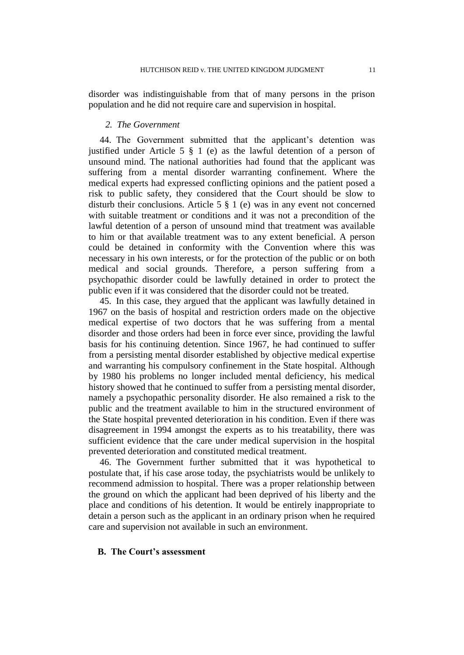disorder was indistinguishable from that of many persons in the prison population and he did not require care and supervision in hospital.

#### *2. The Government*

44. The Government submitted that the applicant's detention was justified under Article 5 § 1 (e) as the lawful detention of a person of unsound mind. The national authorities had found that the applicant was suffering from a mental disorder warranting confinement. Where the medical experts had expressed conflicting opinions and the patient posed a risk to public safety, they considered that the Court should be slow to disturb their conclusions. Article 5 § 1 (e) was in any event not concerned with suitable treatment or conditions and it was not a precondition of the lawful detention of a person of unsound mind that treatment was available to him or that available treatment was to any extent beneficial. A person could be detained in conformity with the Convention where this was necessary in his own interests, or for the protection of the public or on both medical and social grounds. Therefore, a person suffering from a psychopathic disorder could be lawfully detained in order to protect the public even if it was considered that the disorder could not be treated.

45. In this case, they argued that the applicant was lawfully detained in 1967 on the basis of hospital and restriction orders made on the objective medical expertise of two doctors that he was suffering from a mental disorder and those orders had been in force ever since, providing the lawful basis for his continuing detention. Since 1967, he had continued to suffer from a persisting mental disorder established by objective medical expertise and warranting his compulsory confinement in the State hospital. Although by 1980 his problems no longer included mental deficiency, his medical history showed that he continued to suffer from a persisting mental disorder, namely a psychopathic personality disorder. He also remained a risk to the public and the treatment available to him in the structured environment of the State hospital prevented deterioration in his condition. Even if there was disagreement in 1994 amongst the experts as to his treatability, there was sufficient evidence that the care under medical supervision in the hospital prevented deterioration and constituted medical treatment.

46. The Government further submitted that it was hypothetical to postulate that, if his case arose today, the psychiatrists would be unlikely to recommend admission to hospital. There was a proper relationship between the ground on which the applicant had been deprived of his liberty and the place and conditions of his detention. It would be entirely inappropriate to detain a person such as the applicant in an ordinary prison when he required care and supervision not available in such an environment.

## **B. The Court's assessment**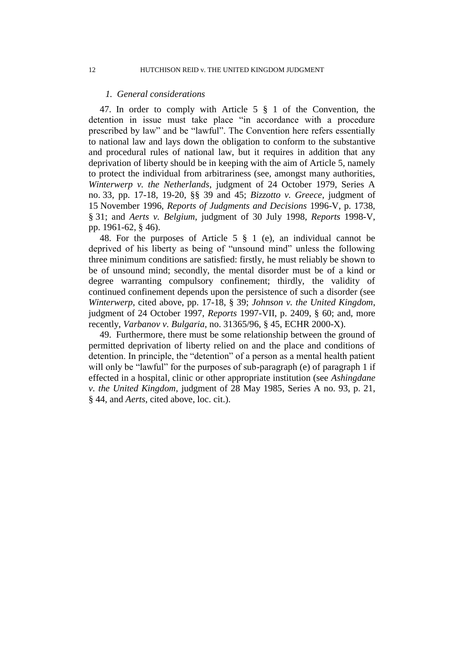#### *1. General considerations*

47. In order to comply with Article 5 § 1 of the Convention, the detention in issue must take place "in accordance with a procedure prescribed by law" and be "lawful". The Convention here refers essentially to national law and lays down the obligation to conform to the substantive and procedural rules of national law, but it requires in addition that any deprivation of liberty should be in keeping with the aim of Article 5, namely to protect the individual from arbitrariness (see, amongst many authorities, *Winterwerp v. the Netherlands*, judgment of 24 October 1979, Series A no. 33, pp. 17-18, 19-20, §§ 39 and 45; *Bizzotto v. Greece*, judgment of 15 November 1996, *Reports of Judgments and Decisions* 1996-V, p. 1738, § 31; and *Aerts v. Belgium*, judgment of 30 July 1998, *Reports* 1998-V, pp. 1961-62, § 46).

48. For the purposes of Article 5 § 1 (e), an individual cannot be deprived of his liberty as being of "unsound mind" unless the following three minimum conditions are satisfied: firstly, he must reliably be shown to be of unsound mind; secondly, the mental disorder must be of a kind or degree warranting compulsory confinement; thirdly, the validity of continued confinement depends upon the persistence of such a disorder (see *Winterwerp*, cited above, pp. 17-18, § 39; *Johnson v. the United Kingdom*, judgment of 24 October 1997, *Reports* 1997-VII, p. 2409, § 60; and, more recently, *Varbanov v. Bulgaria*, no. 31365/96, § 45, ECHR 2000-X).

49. Furthermore, there must be some relationship between the ground of permitted deprivation of liberty relied on and the place and conditions of detention. In principle, the "detention" of a person as a mental health patient will only be "lawful" for the purposes of sub-paragraph (e) of paragraph 1 if effected in a hospital, clinic or other appropriate institution (see *Ashingdane v. the United Kingdom*, judgment of 28 May 1985, Series A no. 93, p. 21, § 44, and *Aerts*, cited above, loc. cit.).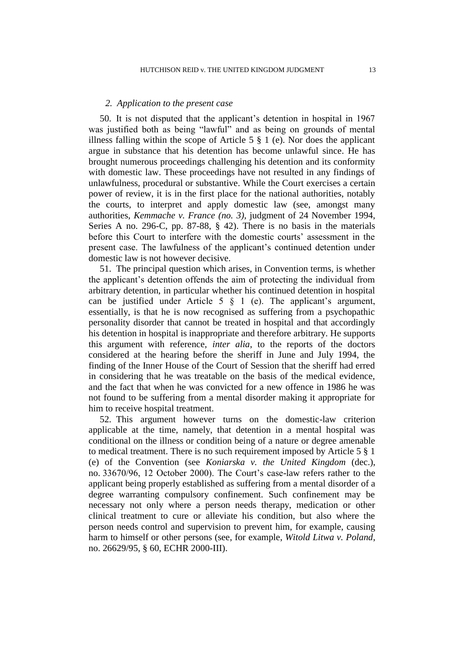#### *2. Application to the present case*

50. It is not disputed that the applicant's detention in hospital in 1967 was justified both as being "lawful" and as being on grounds of mental illness falling within the scope of Article 5  $\S$  1 (e). Nor does the applicant argue in substance that his detention has become unlawful since. He has brought numerous proceedings challenging his detention and its conformity with domestic law. These proceedings have not resulted in any findings of unlawfulness, procedural or substantive. While the Court exercises a certain power of review, it is in the first place for the national authorities, notably the courts, to interpret and apply domestic law (see, amongst many authorities, *Kemmache v. France (no. 3)*, judgment of 24 November 1994, Series A no. 296-C, pp. 87-88, § 42). There is no basis in the materials before this Court to interfere with the domestic courts' assessment in the present case. The lawfulness of the applicant's continued detention under domestic law is not however decisive.

51. The principal question which arises, in Convention terms, is whether the applicant's detention offends the aim of protecting the individual from arbitrary detention, in particular whether his continued detention in hospital can be justified under Article 5 § 1 (e). The applicant's argument, essentially, is that he is now recognised as suffering from a psychopathic personality disorder that cannot be treated in hospital and that accordingly his detention in hospital is inappropriate and therefore arbitrary. He supports this argument with reference, *inter alia*, to the reports of the doctors considered at the hearing before the sheriff in June and July 1994, the finding of the Inner House of the Court of Session that the sheriff had erred in considering that he was treatable on the basis of the medical evidence, and the fact that when he was convicted for a new offence in 1986 he was not found to be suffering from a mental disorder making it appropriate for him to receive hospital treatment.

52. This argument however turns on the domestic-law criterion applicable at the time, namely, that detention in a mental hospital was conditional on the illness or condition being of a nature or degree amenable to medical treatment. There is no such requirement imposed by Article 5 § 1 (e) of the Convention (see *Koniarska v. the United Kingdom* (dec.), no. 33670/96, 12 October 2000). The Court's case-law refers rather to the applicant being properly established as suffering from a mental disorder of a degree warranting compulsory confinement. Such confinement may be necessary not only where a person needs therapy, medication or other clinical treatment to cure or alleviate his condition, but also where the person needs control and supervision to prevent him, for example, causing harm to himself or other persons (see, for example, *Witold Litwa v. Poland*, no. 26629/95, § 60, ECHR 2000-III).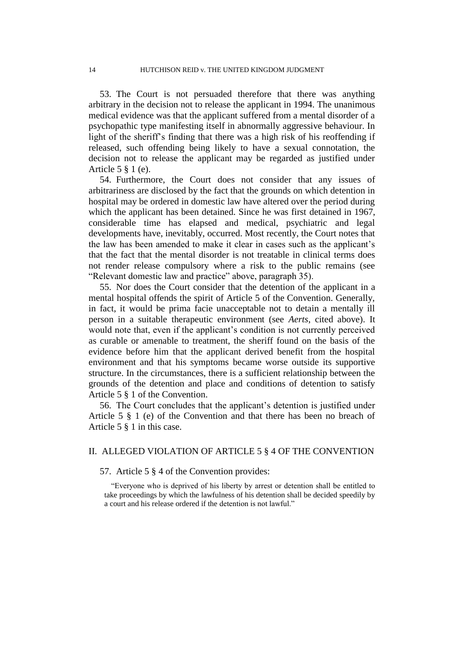53. The Court is not persuaded therefore that there was anything arbitrary in the decision not to release the applicant in 1994. The unanimous medical evidence was that the applicant suffered from a mental disorder of a psychopathic type manifesting itself in abnormally aggressive behaviour. In light of the sheriff's finding that there was a high risk of his reoffending if released, such offending being likely to have a sexual connotation, the decision not to release the applicant may be regarded as justified under Article 5 § 1 (e).

54. Furthermore, the Court does not consider that any issues of arbitrariness are disclosed by the fact that the grounds on which detention in hospital may be ordered in domestic law have altered over the period during which the applicant has been detained. Since he was first detained in 1967, considerable time has elapsed and medical, psychiatric and legal developments have, inevitably, occurred. Most recently, the Court notes that the law has been amended to make it clear in cases such as the applicant's that the fact that the mental disorder is not treatable in clinical terms does not render release compulsory where a risk to the public remains (see "Relevant domestic law and practice" above, paragraph 35).

55. Nor does the Court consider that the detention of the applicant in a mental hospital offends the spirit of Article 5 of the Convention. Generally, in fact, it would be prima facie unacceptable not to detain a mentally ill person in a suitable therapeutic environment (see *Aerts*, cited above). It would note that, even if the applicant's condition is not currently perceived as curable or amenable to treatment, the sheriff found on the basis of the evidence before him that the applicant derived benefit from the hospital environment and that his symptoms became worse outside its supportive structure. In the circumstances, there is a sufficient relationship between the grounds of the detention and place and conditions of detention to satisfy Article 5 § 1 of the Convention.

56. The Court concludes that the applicant's detention is justified under Article 5 § 1 (e) of the Convention and that there has been no breach of Article 5 § 1 in this case.

## II. ALLEGED VIOLATION OF ARTICLE 5 § 4 OF THE CONVENTION

57. Article 5 § 4 of the Convention provides:

"Everyone who is deprived of his liberty by arrest or detention shall be entitled to take proceedings by which the lawfulness of his detention shall be decided speedily by a court and his release ordered if the detention is not lawful."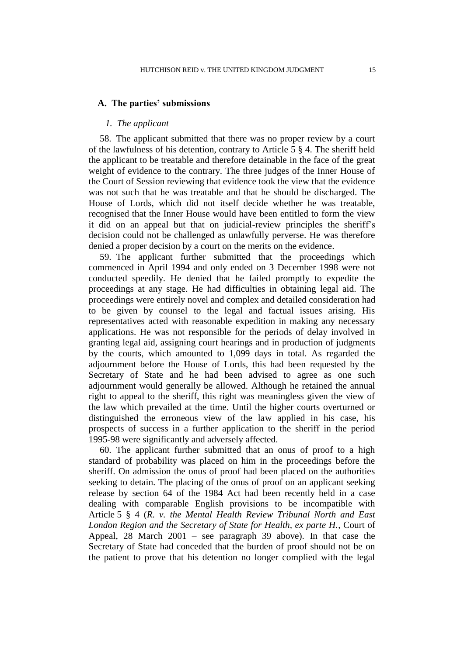#### **A. The parties' submissions**

## *1. The applicant*

58. The applicant submitted that there was no proper review by a court of the lawfulness of his detention, contrary to Article 5 § 4. The sheriff held the applicant to be treatable and therefore detainable in the face of the great weight of evidence to the contrary. The three judges of the Inner House of the Court of Session reviewing that evidence took the view that the evidence was not such that he was treatable and that he should be discharged. The House of Lords, which did not itself decide whether he was treatable, recognised that the Inner House would have been entitled to form the view it did on an appeal but that on judicial-review principles the sheriff's decision could not be challenged as unlawfully perverse. He was therefore denied a proper decision by a court on the merits on the evidence.

59. The applicant further submitted that the proceedings which commenced in April 1994 and only ended on 3 December 1998 were not conducted speedily. He denied that he failed promptly to expedite the proceedings at any stage. He had difficulties in obtaining legal aid. The proceedings were entirely novel and complex and detailed consideration had to be given by counsel to the legal and factual issues arising. His representatives acted with reasonable expedition in making any necessary applications. He was not responsible for the periods of delay involved in granting legal aid, assigning court hearings and in production of judgments by the courts, which amounted to 1,099 days in total. As regarded the adjournment before the House of Lords, this had been requested by the Secretary of State and he had been advised to agree as one such adjournment would generally be allowed. Although he retained the annual right to appeal to the sheriff, this right was meaningless given the view of the law which prevailed at the time. Until the higher courts overturned or distinguished the erroneous view of the law applied in his case, his prospects of success in a further application to the sheriff in the period 1995-98 were significantly and adversely affected.

60. The applicant further submitted that an onus of proof to a high standard of probability was placed on him in the proceedings before the sheriff. On admission the onus of proof had been placed on the authorities seeking to detain. The placing of the onus of proof on an applicant seeking release by section 64 of the 1984 Act had been recently held in a case dealing with comparable English provisions to be incompatible with Article 5 § 4 (*R. v. the Mental Health Review Tribunal North and East London Region and the Secretary of State for Health, ex parte H.*, Court of Appeal, 28 March 2001 – see paragraph 39 above). In that case the Secretary of State had conceded that the burden of proof should not be on the patient to prove that his detention no longer complied with the legal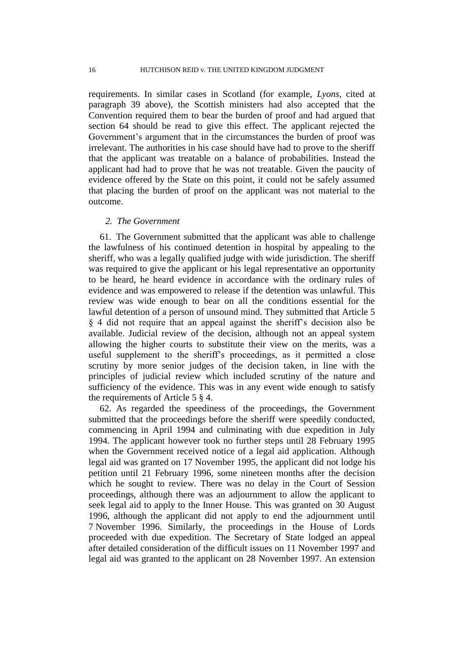requirements. In similar cases in Scotland (for example, *Lyons*, cited at paragraph 39 above), the Scottish ministers had also accepted that the Convention required them to bear the burden of proof and had argued that section 64 should be read to give this effect. The applicant rejected the Government's argument that in the circumstances the burden of proof was irrelevant. The authorities in his case should have had to prove to the sheriff that the applicant was treatable on a balance of probabilities. Instead the applicant had had to prove that he was not treatable. Given the paucity of evidence offered by the State on this point, it could not be safely assumed that placing the burden of proof on the applicant was not material to the outcome.

#### *2. The Government*

61. The Government submitted that the applicant was able to challenge the lawfulness of his continued detention in hospital by appealing to the sheriff, who was a legally qualified judge with wide jurisdiction. The sheriff was required to give the applicant or his legal representative an opportunity to be heard, he heard evidence in accordance with the ordinary rules of evidence and was empowered to release if the detention was unlawful. This review was wide enough to bear on all the conditions essential for the lawful detention of a person of unsound mind. They submitted that Article 5 § 4 did not require that an appeal against the sheriff's decision also be available. Judicial review of the decision, although not an appeal system allowing the higher courts to substitute their view on the merits, was a useful supplement to the sheriff's proceedings, as it permitted a close scrutiny by more senior judges of the decision taken, in line with the principles of judicial review which included scrutiny of the nature and sufficiency of the evidence. This was in any event wide enough to satisfy the requirements of Article 5 § 4.

62. As regarded the speediness of the proceedings, the Government submitted that the proceedings before the sheriff were speedily conducted, commencing in April 1994 and culminating with due expedition in July 1994. The applicant however took no further steps until 28 February 1995 when the Government received notice of a legal aid application. Although legal aid was granted on 17 November 1995, the applicant did not lodge his petition until 21 February 1996, some nineteen months after the decision which he sought to review. There was no delay in the Court of Session proceedings, although there was an adjournment to allow the applicant to seek legal aid to apply to the Inner House. This was granted on 30 August 1996, although the applicant did not apply to end the adjournment until 7 November 1996. Similarly, the proceedings in the House of Lords proceeded with due expedition. The Secretary of State lodged an appeal after detailed consideration of the difficult issues on 11 November 1997 and legal aid was granted to the applicant on 28 November 1997. An extension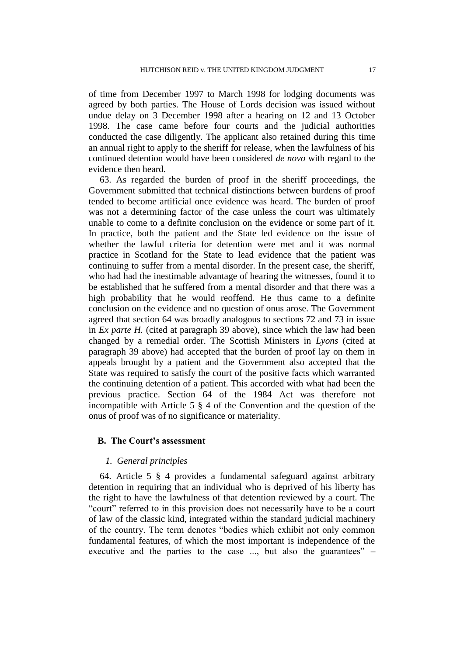of time from December 1997 to March 1998 for lodging documents was agreed by both parties. The House of Lords decision was issued without undue delay on 3 December 1998 after a hearing on 12 and 13 October 1998. The case came before four courts and the judicial authorities conducted the case diligently. The applicant also retained during this time an annual right to apply to the sheriff for release, when the lawfulness of his continued detention would have been considered *de novo* with regard to the evidence then heard.

63. As regarded the burden of proof in the sheriff proceedings, the Government submitted that technical distinctions between burdens of proof tended to become artificial once evidence was heard. The burden of proof was not a determining factor of the case unless the court was ultimately unable to come to a definite conclusion on the evidence or some part of it. In practice, both the patient and the State led evidence on the issue of whether the lawful criteria for detention were met and it was normal practice in Scotland for the State to lead evidence that the patient was continuing to suffer from a mental disorder. In the present case, the sheriff, who had had the inestimable advantage of hearing the witnesses, found it to be established that he suffered from a mental disorder and that there was a high probability that he would reoffend. He thus came to a definite conclusion on the evidence and no question of onus arose. The Government agreed that section 64 was broadly analogous to sections 72 and 73 in issue in *Ex parte H.* (cited at paragraph 39 above), since which the law had been changed by a remedial order. The Scottish Ministers in *Lyons* (cited at paragraph 39 above) had accepted that the burden of proof lay on them in appeals brought by a patient and the Government also accepted that the State was required to satisfy the court of the positive facts which warranted the continuing detention of a patient. This accorded with what had been the previous practice. Section 64 of the 1984 Act was therefore not incompatible with Article 5 § 4 of the Convention and the question of the onus of proof was of no significance or materiality.

### **B. The Court's assessment**

#### *1. General principles*

64. Article 5 § 4 provides a fundamental safeguard against arbitrary detention in requiring that an individual who is deprived of his liberty has the right to have the lawfulness of that detention reviewed by a court. The "court" referred to in this provision does not necessarily have to be a court of law of the classic kind, integrated within the standard judicial machinery of the country. The term denotes "bodies which exhibit not only common fundamental features, of which the most important is independence of the executive and the parties to the case ..., but also the guarantees" –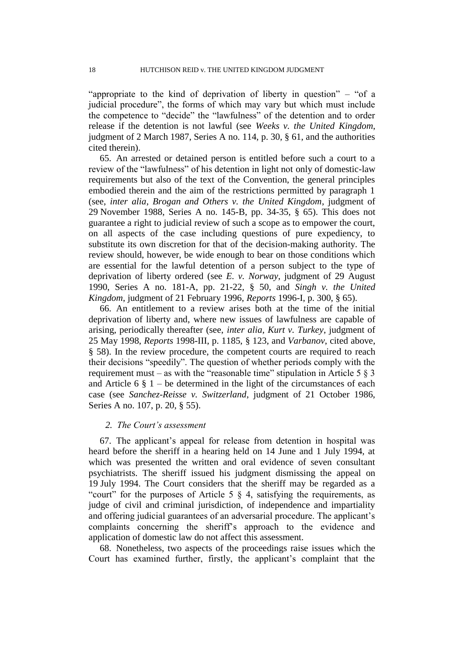"appropriate to the kind of deprivation of liberty in question" – "of a judicial procedure", the forms of which may vary but which must include the competence to "decide" the "lawfulness" of the detention and to order release if the detention is not lawful (see *Weeks v. the United Kingdom*, judgment of 2 March 1987, Series A no. 114, p. 30, § 61, and the authorities cited therein).

65. An arrested or detained person is entitled before such a court to a review of the "lawfulness" of his detention in light not only of domestic-law requirements but also of the text of the Convention, the general principles embodied therein and the aim of the restrictions permitted by paragraph 1 (see, *inter alia*, *Brogan and Others v. the United Kingdom*, judgment of 29 November 1988, Series A no. 145-B, pp. 34-35, § 65). This does not guarantee a right to judicial review of such a scope as to empower the court, on all aspects of the case including questions of pure expediency, to substitute its own discretion for that of the decision-making authority. The review should, however, be wide enough to bear on those conditions which are essential for the lawful detention of a person subject to the type of deprivation of liberty ordered (see *E. v. Norway*, judgment of 29 August 1990, Series A no. 181-A, pp. 21-22, § 50, and *Singh v. the United Kingdom*, judgment of 21 February 1996, *Reports* 1996-I, p. 300, § 65).

66. An entitlement to a review arises both at the time of the initial deprivation of liberty and, where new issues of lawfulness are capable of arising, periodically thereafter (see, *inter alia*, *Kurt v. Turkey*, judgment of 25 May 1998, *Reports* 1998-III, p. 1185, § 123, and *Varbanov*, cited above, § 58). In the review procedure, the competent courts are required to reach their decisions "speedily". The question of whether periods comply with the requirement must – as with the "reasonable time" stipulation in Article 5  $\S$  3 and Article 6  $\S$  1 – be determined in the light of the circumstances of each case (see *Sanchez-Reisse v. Switzerland*, judgment of 21 October 1986, Series A no. 107, p. 20, § 55).

## *2. The Court's assessment*

67. The applicant's appeal for release from detention in hospital was heard before the sheriff in a hearing held on 14 June and 1 July 1994, at which was presented the written and oral evidence of seven consultant psychiatrists. The sheriff issued his judgment dismissing the appeal on 19 July 1994. The Court considers that the sheriff may be regarded as a "court" for the purposes of Article 5  $\S$  4, satisfying the requirements, as judge of civil and criminal jurisdiction, of independence and impartiality and offering judicial guarantees of an adversarial procedure. The applicant's complaints concerning the sheriff's approach to the evidence and application of domestic law do not affect this assessment.

68. Nonetheless, two aspects of the proceedings raise issues which the Court has examined further, firstly, the applicant's complaint that the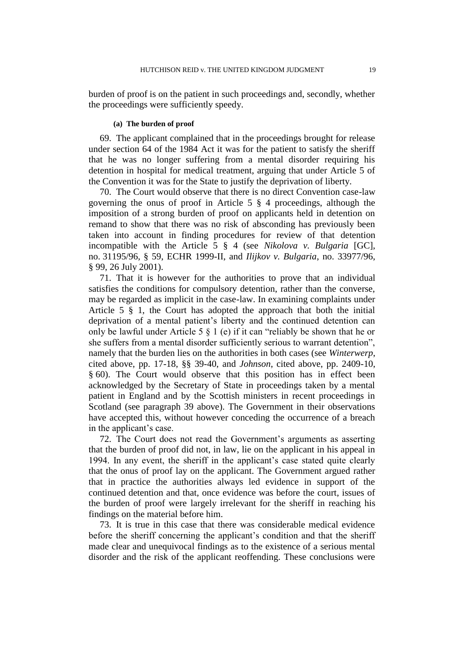burden of proof is on the patient in such proceedings and, secondly, whether the proceedings were sufficiently speedy.

#### **(a) The burden of proof**

69. The applicant complained that in the proceedings brought for release under section 64 of the 1984 Act it was for the patient to satisfy the sheriff that he was no longer suffering from a mental disorder requiring his detention in hospital for medical treatment, arguing that under Article 5 of the Convention it was for the State to justify the deprivation of liberty.

70. The Court would observe that there is no direct Convention case-law governing the onus of proof in Article 5 § 4 proceedings, although the imposition of a strong burden of proof on applicants held in detention on remand to show that there was no risk of absconding has previously been taken into account in finding procedures for review of that detention incompatible with the Article 5 § 4 (see *Nikolova v. Bulgaria* [GC], no. 31195/96, § 59, ECHR 1999-II, and *Ilijkov v. Bulgaria*, no. 33977/96, § 99, 26 July 2001).

71. That it is however for the authorities to prove that an individual satisfies the conditions for compulsory detention, rather than the converse, may be regarded as implicit in the case-law. In examining complaints under Article 5 § 1, the Court has adopted the approach that both the initial deprivation of a mental patient's liberty and the continued detention can only be lawful under Article 5 § 1 (e) if it can "reliably be shown that he or she suffers from a mental disorder sufficiently serious to warrant detention", namely that the burden lies on the authorities in both cases (see *Winterwerp*, cited above, pp. 17-18, §§ 39-40, and *Johnson*, cited above, pp. 2409-10, § 60). The Court would observe that this position has in effect been acknowledged by the Secretary of State in proceedings taken by a mental patient in England and by the Scottish ministers in recent proceedings in Scotland (see paragraph 39 above). The Government in their observations have accepted this, without however conceding the occurrence of a breach in the applicant's case.

72. The Court does not read the Government's arguments as asserting that the burden of proof did not, in law, lie on the applicant in his appeal in 1994. In any event, the sheriff in the applicant's case stated quite clearly that the onus of proof lay on the applicant. The Government argued rather that in practice the authorities always led evidence in support of the continued detention and that, once evidence was before the court, issues of the burden of proof were largely irrelevant for the sheriff in reaching his findings on the material before him.

73. It is true in this case that there was considerable medical evidence before the sheriff concerning the applicant's condition and that the sheriff made clear and unequivocal findings as to the existence of a serious mental disorder and the risk of the applicant reoffending. These conclusions were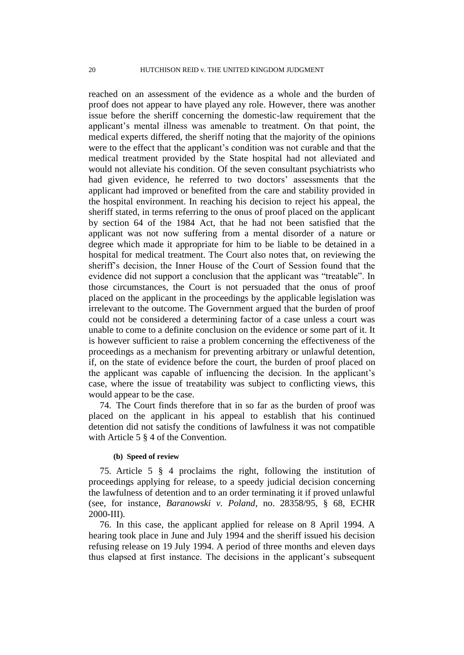reached on an assessment of the evidence as a whole and the burden of proof does not appear to have played any role. However, there was another issue before the sheriff concerning the domestic-law requirement that the applicant's mental illness was amenable to treatment. On that point, the medical experts differed, the sheriff noting that the majority of the opinions were to the effect that the applicant's condition was not curable and that the medical treatment provided by the State hospital had not alleviated and would not alleviate his condition. Of the seven consultant psychiatrists who had given evidence, he referred to two doctors' assessments that the applicant had improved or benefited from the care and stability provided in the hospital environment. In reaching his decision to reject his appeal, the sheriff stated, in terms referring to the onus of proof placed on the applicant by section 64 of the 1984 Act, that he had not been satisfied that the applicant was not now suffering from a mental disorder of a nature or degree which made it appropriate for him to be liable to be detained in a hospital for medical treatment. The Court also notes that, on reviewing the sheriff's decision, the Inner House of the Court of Session found that the evidence did not support a conclusion that the applicant was "treatable". In those circumstances, the Court is not persuaded that the onus of proof placed on the applicant in the proceedings by the applicable legislation was irrelevant to the outcome. The Government argued that the burden of proof could not be considered a determining factor of a case unless a court was unable to come to a definite conclusion on the evidence or some part of it. It is however sufficient to raise a problem concerning the effectiveness of the proceedings as a mechanism for preventing arbitrary or unlawful detention, if, on the state of evidence before the court, the burden of proof placed on the applicant was capable of influencing the decision. In the applicant's case, where the issue of treatability was subject to conflicting views, this would appear to be the case.

74. The Court finds therefore that in so far as the burden of proof was placed on the applicant in his appeal to establish that his continued detention did not satisfy the conditions of lawfulness it was not compatible with Article 5  $\S$  4 of the Convention.

#### **(b) Speed of review**

75. Article 5 § 4 proclaims the right, following the institution of proceedings applying for release, to a speedy judicial decision concerning the lawfulness of detention and to an order terminating it if proved unlawful (see, for instance, *Baranowski v. Poland*, no. 28358/95, § 68, ECHR 2000-III).

76. In this case, the applicant applied for release on 8 April 1994. A hearing took place in June and July 1994 and the sheriff issued his decision refusing release on 19 July 1994. A period of three months and eleven days thus elapsed at first instance. The decisions in the applicant's subsequent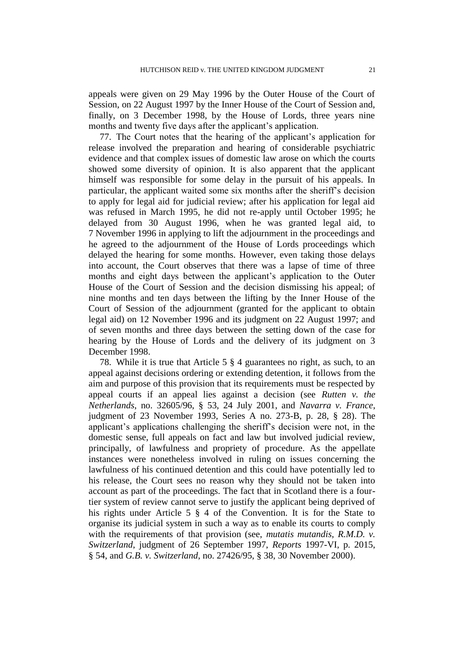appeals were given on 29 May 1996 by the Outer House of the Court of Session, on 22 August 1997 by the Inner House of the Court of Session and, finally, on 3 December 1998, by the House of Lords, three years nine months and twenty five days after the applicant's application.

77. The Court notes that the hearing of the applicant's application for release involved the preparation and hearing of considerable psychiatric evidence and that complex issues of domestic law arose on which the courts showed some diversity of opinion. It is also apparent that the applicant himself was responsible for some delay in the pursuit of his appeals. In particular, the applicant waited some six months after the sheriff's decision to apply for legal aid for judicial review; after his application for legal aid was refused in March 1995, he did not re-apply until October 1995; he delayed from 30 August 1996, when he was granted legal aid, to 7 November 1996 in applying to lift the adjournment in the proceedings and he agreed to the adjournment of the House of Lords proceedings which delayed the hearing for some months. However, even taking those delays into account, the Court observes that there was a lapse of time of three months and eight days between the applicant's application to the Outer House of the Court of Session and the decision dismissing his appeal; of nine months and ten days between the lifting by the Inner House of the Court of Session of the adjournment (granted for the applicant to obtain legal aid) on 12 November 1996 and its judgment on 22 August 1997; and of seven months and three days between the setting down of the case for hearing by the House of Lords and the delivery of its judgment on 3 December 1998.

78. While it is true that Article 5 § 4 guarantees no right, as such, to an appeal against decisions ordering or extending detention, it follows from the aim and purpose of this provision that its requirements must be respected by appeal courts if an appeal lies against a decision (see *Rutten v. the Netherlands*, no. 32605/96, § 53, 24 July 2001, and *Navarra v. France*, judgment of 23 November 1993, Series A no. 273-B, p. 28, § 28). The applicant's applications challenging the sheriff's decision were not, in the domestic sense, full appeals on fact and law but involved judicial review, principally, of lawfulness and propriety of procedure. As the appellate instances were nonetheless involved in ruling on issues concerning the lawfulness of his continued detention and this could have potentially led to his release, the Court sees no reason why they should not be taken into account as part of the proceedings. The fact that in Scotland there is a fourtier system of review cannot serve to justify the applicant being deprived of his rights under Article 5 § 4 of the Convention. It is for the State to organise its judicial system in such a way as to enable its courts to comply with the requirements of that provision (see, *mutatis mutandis*, *R.M.D. v. Switzerland*, judgment of 26 September 1997, *Reports* 1997-VI, p. 2015, § 54, and *G.B. v. Switzerland*, no. 27426/95, § 38, 30 November 2000).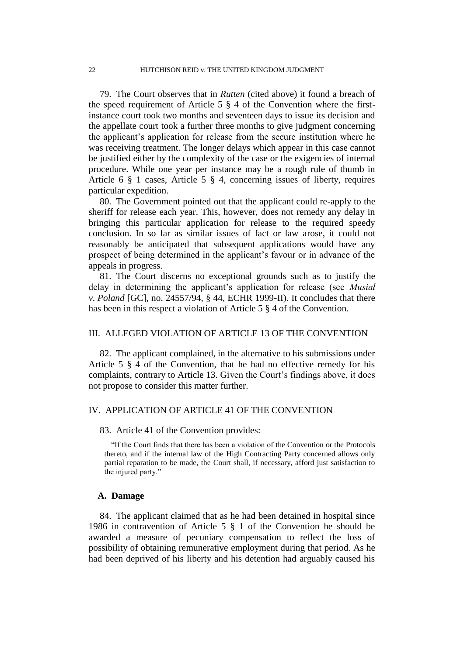79. The Court observes that in *Rutten* (cited above) it found a breach of the speed requirement of Article 5 § 4 of the Convention where the firstinstance court took two months and seventeen days to issue its decision and the appellate court took a further three months to give judgment concerning the applicant's application for release from the secure institution where he was receiving treatment. The longer delays which appear in this case cannot be justified either by the complexity of the case or the exigencies of internal procedure. While one year per instance may be a rough rule of thumb in Article 6 § 1 cases, Article 5 § 4, concerning issues of liberty, requires particular expedition.

80. The Government pointed out that the applicant could re-apply to the sheriff for release each year. This, however, does not remedy any delay in bringing this particular application for release to the required speedy conclusion. In so far as similar issues of fact or law arose, it could not reasonably be anticipated that subsequent applications would have any prospect of being determined in the applicant's favour or in advance of the appeals in progress.

81. The Court discerns no exceptional grounds such as to justify the delay in determining the applicant's application for release (see *Musiał v. Poland* [GC], no. 24557/94, § 44, ECHR 1999-II). It concludes that there has been in this respect a violation of Article 5 § 4 of the Convention.

#### III. ALLEGED VIOLATION OF ARTICLE 13 OF THE CONVENTION

82. The applicant complained, in the alternative to his submissions under Article 5 § 4 of the Convention, that he had no effective remedy for his complaints, contrary to Article 13. Given the Court's findings above, it does not propose to consider this matter further.

#### IV. APPLICATION OF ARTICLE 41 OF THE CONVENTION

#### 83. Article 41 of the Convention provides:

"If the Court finds that there has been a violation of the Convention or the Protocols thereto, and if the internal law of the High Contracting Party concerned allows only partial reparation to be made, the Court shall, if necessary, afford just satisfaction to the injured party."

#### **A. Damage**

84. The applicant claimed that as he had been detained in hospital since 1986 in contravention of Article 5 § 1 of the Convention he should be awarded a measure of pecuniary compensation to reflect the loss of possibility of obtaining remunerative employment during that period. As he had been deprived of his liberty and his detention had arguably caused his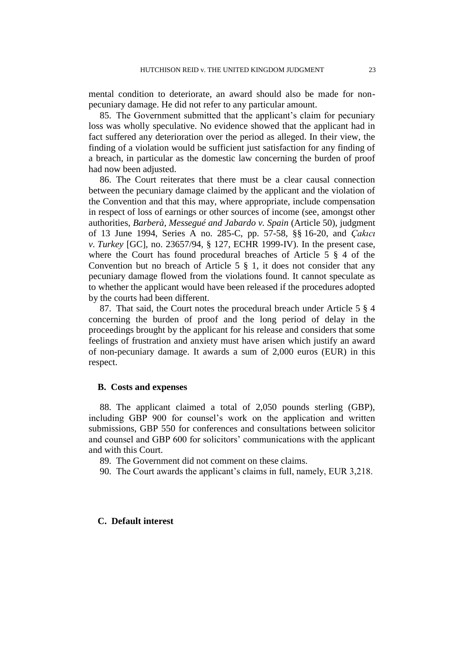mental condition to deteriorate, an award should also be made for nonpecuniary damage. He did not refer to any particular amount.

85. The Government submitted that the applicant's claim for pecuniary loss was wholly speculative. No evidence showed that the applicant had in fact suffered any deterioration over the period as alleged. In their view, the finding of a violation would be sufficient just satisfaction for any finding of a breach, in particular as the domestic law concerning the burden of proof had now been adjusted.

86. The Court reiterates that there must be a clear causal connection between the pecuniary damage claimed by the applicant and the violation of the Convention and that this may, where appropriate, include compensation in respect of loss of earnings or other sources of income (see, amongst other authorities, *Barberà, Messegué and Jabardo v. Spain* (Article 50), judgment of 13 June 1994, Series A no. 285-C, pp. 57-58, §§ 16-20, and *Çakıcı v. Turkey* [GC], no. 23657/94, § 127, ECHR 1999-IV). In the present case, where the Court has found procedural breaches of Article 5  $\frac{8}{9}$  4 of the Convention but no breach of Article  $5 \tS 1$ , it does not consider that any pecuniary damage flowed from the violations found. It cannot speculate as to whether the applicant would have been released if the procedures adopted by the courts had been different.

87. That said, the Court notes the procedural breach under Article 5 § 4 concerning the burden of proof and the long period of delay in the proceedings brought by the applicant for his release and considers that some feelings of frustration and anxiety must have arisen which justify an award of non-pecuniary damage. It awards a sum of 2,000 euros (EUR) in this respect.

## **B. Costs and expenses**

88. The applicant claimed a total of 2,050 pounds sterling (GBP), including GBP 900 for counsel's work on the application and written submissions, GBP 550 for conferences and consultations between solicitor and counsel and GBP 600 for solicitors' communications with the applicant and with this Court.

89. The Government did not comment on these claims.

90. The Court awards the applicant's claims in full, namely, EUR 3,218.

#### **C. Default interest**